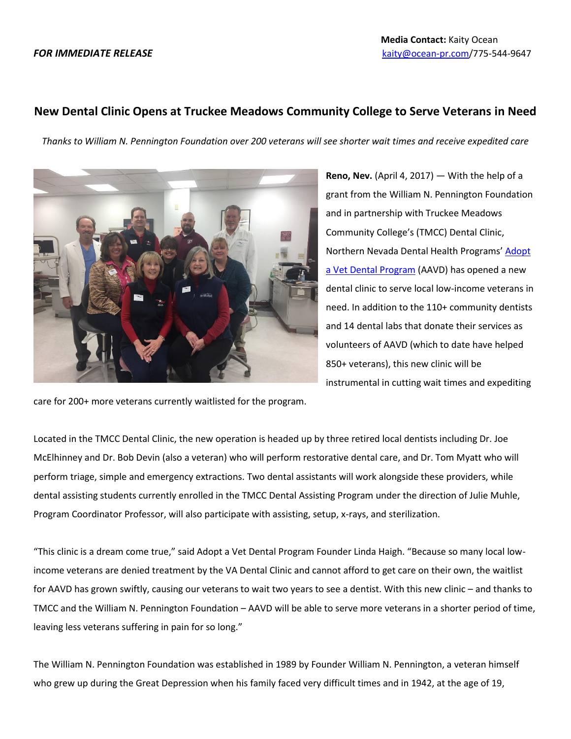## **New Dental Clinic Opens at Truckee Meadows Community College to Serve Veterans in Need**

*Thanks to William N. Pennington Foundation over 200 veterans will see shorter wait times and receive expedited care*



**Reno, Nev.** (April 4, 2017) — With the help of a grant from the William N. Pennington Foundation and in partnership with Truckee Meadows Community College's (TMCC) Dental Clinic, Northern Nevada Dental Health Programs' [Adopt](http://nndhp.org/veterans/)  [a Vet Dental Program](http://nndhp.org/veterans/) (AAVD) has opened a new dental clinic to serve local low-income veterans in need. In addition to the 110+ community dentists and 14 dental labs that donate their services as volunteers of AAVD (which to date have helped 850+ veterans), this new clinic will be instrumental in cutting wait times and expediting

care for 200+ more veterans currently waitlisted for the program.

Located in the TMCC Dental Clinic, the new operation is headed up by three retired local dentists including Dr. Joe McElhinney and Dr. Bob Devin (also a veteran) who will perform restorative dental care, and Dr. Tom Myatt who will perform triage, simple and emergency extractions. Two dental assistants will work alongside these providers, while dental assisting students currently enrolled in the TMCC Dental Assisting Program under the direction of Julie Muhle, Program Coordinator Professor, will also participate with assisting, setup, x-rays, and sterilization.

"This clinic is a dream come true," said Adopt a Vet Dental Program Founder Linda Haigh. "Because so many local lowincome veterans are denied treatment by the VA Dental Clinic and cannot afford to get care on their own, the waitlist for AAVD has grown swiftly, causing our veterans to wait two years to see a dentist. With this new clinic – and thanks to TMCC and the William N. Pennington Foundation – AAVD will be able to serve more veterans in a shorter period of time, leaving less veterans suffering in pain for so long."

The William N. Pennington Foundation was established in 1989 by Founder William N. Pennington, a veteran himself who grew up during the Great Depression when his family faced very difficult times and in 1942, at the age of 19,